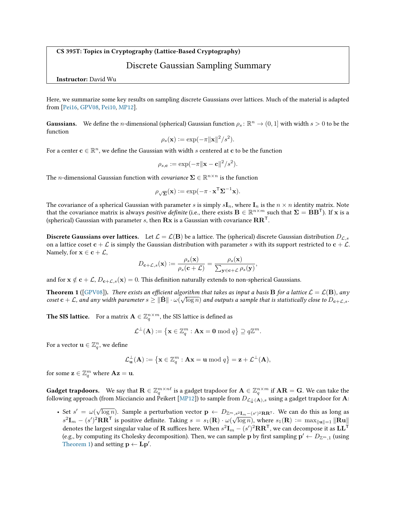CS 395T: Topics in Cryptography (Lattice-Based Cryptography)

## Discrete Gaussian Sampling Summary

Instructor: David Wu

Here, we summarize some key results on sampling discrete Gaussians over lattices. Much of the material is adapted from [\[Pei16,](#page-1-0) [GPV08,](#page-1-1) [Pei10,](#page-1-2) [MP12\]](#page-1-3).

**Gaussians.** We define the *n*-dimensional (spherical) Gaussian function  $\rho_s \colon \mathbb{R}^n \to (0,1]$  with width  $s > 0$  to be the function

$$
\rho_s(\mathbf{x}) := \exp(-\pi \|\mathbf{x}\|^2 / s^2).
$$

For a center  $\mathbf{c} \in \mathbb{R}^n$ , we define the Gaussian with width  $s$  centered at  $\mathbf{c}$  to be the function

$$
\rho_{s,\mathbf{c}} := \exp(-\pi \|\mathbf{x} - \mathbf{c}\|^2 / s^2).
$$

The *n*-dimensional Gaussian function with *covariance*  $\mathbf{\Sigma} \in \mathbb{R}^{n \times n}$  is the function

$$
\rho_{\sqrt{\Sigma}}(\mathbf{x}) := \exp(-\pi \cdot \mathbf{x}^{\mathsf{T}} \Sigma^{-1} \mathbf{x}).
$$

The covariance of a spherical Gaussian with parameter s is simply  $sI_n$ , where  $I_n$  is the  $n \times n$  identity matrix. Note that the covariance matrix is always *positive definite* (i.e., there exists  $B \in \mathbb{R}^{n \times m}$  such that  $\Sigma = BB^{\mathsf{T}}$ ). If x is a (spherical) Gaussian with parameter s, then  $Rx$  is a Gaussian with covariance  $RR<sup>T</sup>$ .

**Discrete Gaussians over lattices.** Let  $\mathcal{L} = \mathcal{L}(\mathbf{B})$  be a lattice. The (spherical) discrete Gaussian distribution  $D_{\mathcal{L},s}$ on a lattice coset  $c + \mathcal{L}$  is simply the Gaussian distribution with parameter s with its support restricted to  $c + \mathcal{L}$ . Namely, for  $\mathbf{x} \in \mathbf{c} + \mathcal{L}$ ,

$$
D_{\mathbf{c}+\mathcal{L},s}(\mathbf{x}) \vcentcolon= \frac{\rho_s(\mathbf{x})}{\rho_s(\mathbf{c}+\mathcal{L})} = \frac{\rho_s(\mathbf{x})}{\sum_{\mathbf{y} \in \mathbf{c}+\mathcal{L}} \rho_s(\mathbf{y})},
$$

and for  $\mathbf{x} \notin \mathbf{c} + \mathcal{L}$ ,  $D_{\mathbf{c}+\mathcal{L},s}(\mathbf{x}) = 0$ . This definition naturally extends to non-spherical Gaussians.

<span id="page-0-0"></span>**Theorem 1** ([\[GPV08\]](#page-1-1)). There exists an efficient algorithm that takes as input a basis **B** for a lattice  $\mathcal{L} = \mathcal{L}(\mathbf{B})$ , any coset  $c + \mathcal{L}$ , and any width parameter  $s \geq ||\tilde{B}|| \cdot \omega(\sqrt{\log n})$  and outputs a sample that is statistically close to  $D_{c+\mathcal{L},s}$ .

**The SIS lattice.** For a matrix  $\mathbf{A} \in \mathbb{Z}_q^{n \times m}$ , the SIS lattice is defined as

$$
\mathcal{L}^{\perp}(\mathbf{A}) \vcentcolon= \left\{ \mathbf{x} \in \mathbb{Z}_q^m : \mathbf{A}\mathbf{x} = \mathbf{0} \bmod q \right\} \supseteq q \mathbb{Z}^m.
$$

For a vector  $\mathbf{u} \in \mathbb{Z}_q^n$ , we define

$$
\mathcal{L}_{\mathbf{u}}^{\perp}(\mathbf{A}) \vcentcolon= \left\{ \mathbf{x} \in \mathbb{Z}_q^m : \mathbf{A}\mathbf{x} = \mathbf{u} \bmod q \right\} = \mathbf{z} + \mathcal{L}^{\perp}(\mathbf{A}),
$$

for some  $\mathbf{z} \in \mathbb{Z}_q^m$  where  $\mathbf{A}\mathbf{z} = \mathbf{u}$ .

<code>Gadget</code> trapdoors. We say that  $\mathbf{R}\in\mathbb{Z}_q^{m\times n\ell}$  is a gadget trapdoor for  $\mathbf{A}\in\mathbb{Z}_q^{n\times m}$  if  $\mathbf{A}\mathbf{R}=\mathbf{G}.$  We can take the following approach (from Micciancio and Peikert [\[MP12\]](#page-1-3)) to sample from  $D_{\mathcal{L}_{\text{u}}^{\perp}(\mathbf{A}),s}$  using a gadget trapdoor for **A**:

• Set  $s' = \omega(\sqrt{\log n})$ . Sample a perturbation vector  $p \leftarrow D_{\mathbb{Z}^m, s^2I_m - (s')^2RR^{\mathsf{T}}}$ . We can do this as long as  $s^2\mathbf{I}_m - (s')^2\mathbf{R}\mathbf{R}^\mathsf{T}$  is positive definite. Taking  $s = s_1(\mathbf{R}) \cdot \omega(\sqrt{\log n})$ , where  $s_1(\mathbf{R}) := \max_{\|\mathbf{u}\| = 1} \|\mathbf{R}\mathbf{u}\|$ denotes the largest singular value of  ${\bf R}$  suffices here. When  $s^2{\bf I}_m-(s')^2{\bf R}{\bf R}^{\sf T}$ , we can decompose it as  ${\bf L}{\bf L}^{\sf T}$ (e.g., by computing its Cholesky decomposition). Then, we can sample p by first sampling  $\mathbf{p}' \leftarrow D_{\mathbb{Z}^m,1}$  (using [Theorem 1\)](#page-0-0) and setting  $\mathbf{p} \leftarrow \mathbf{L}\mathbf{p}'$ .